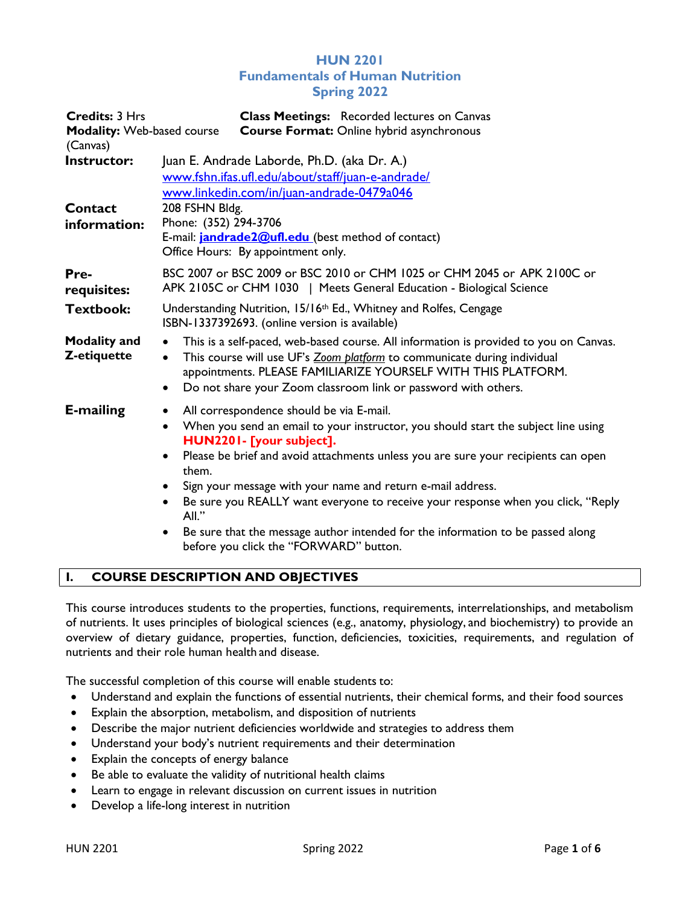# HUN 2201 Fundamentals of Human Nutrition Spring 2022

| <b>Credits: 3 Hrs</b><br><b>Modality: Web-based course</b><br>(Canvas) | <b>Class Meetings:</b> Recorded lectures on Canvas<br><b>Course Format: Online hybrid asynchronous</b>                                                                                                                                                                                                                                                                                                                                                                                                                                                                                    |  |  |  |  |
|------------------------------------------------------------------------|-------------------------------------------------------------------------------------------------------------------------------------------------------------------------------------------------------------------------------------------------------------------------------------------------------------------------------------------------------------------------------------------------------------------------------------------------------------------------------------------------------------------------------------------------------------------------------------------|--|--|--|--|
| Instructor:<br>Contact<br>information:                                 | Juan E. Andrade Laborde, Ph.D. (aka Dr. A.)<br>www.fshn.ifas.ufl.edu/about/staff/juan-e-andrade/<br>www.linkedin.com/in/juan-andrade-0479a046<br>208 FSHN Bldg.<br>Phone: (352) 294-3706<br>E-mail: <b>jandrade2@ufl.edu</b> (best method of contact)<br>Office Hours: By appointment only.                                                                                                                                                                                                                                                                                               |  |  |  |  |
| Pre-<br>requisites:                                                    | BSC 2007 or BSC 2009 or BSC 2010 or CHM 1025 or CHM 2045 or APK 2100C or<br>APK 2105C or CHM 1030   Meets General Education - Biological Science                                                                                                                                                                                                                                                                                                                                                                                                                                          |  |  |  |  |
| <b>Textbook:</b>                                                       | Understanding Nutrition, 15/16th Ed., Whitney and Rolfes, Cengage<br>ISBN-1337392693. (online version is available)                                                                                                                                                                                                                                                                                                                                                                                                                                                                       |  |  |  |  |
| <b>Modality and</b><br>Z-etiquette                                     | This is a self-paced, web-based course. All information is provided to you on Canvas.<br>$\bullet$<br>This course will use UF's Zoom platform to communicate during individual<br>$\bullet$<br>appointments. PLEASE FAMILIARIZE YOURSELF WITH THIS PLATFORM.<br>Do not share your Zoom classroom link or password with others.<br>$\bullet$                                                                                                                                                                                                                                               |  |  |  |  |
| <b>E-mailing</b>                                                       | All correspondence should be via E-mail.<br>When you send an email to your instructor, you should start the subject line using<br>$\bullet$<br>HUN2201- [your subject].<br>Please be brief and avoid attachments unless you are sure your recipients can open<br>$\bullet$<br>them.<br>Sign your message with your name and return e-mail address.<br>Be sure you REALLY want everyone to receive your response when you click, "Reply<br>All."<br>Be sure that the message author intended for the information to be passed along<br>$\bullet$<br>before you click the "FORWARD" button. |  |  |  |  |

# I. COURSE DESCRIPTION AND OBJECTIVES

This course introduces students to the properties, functions, requirements, interrelationships, and metabolism of nutrients. It uses principles of biological sciences (e.g., anatomy, physiology, and biochemistry) to provide an overview of dietary guidance, properties, function, deficiencies, toxicities, requirements, and regulation of nutrients and their role human health and disease.

The successful completion of this course will enable students to:

- Understand and explain the functions of essential nutrients, their chemical forms, and their food sources
- Explain the absorption, metabolism, and disposition of nutrients
- Describe the major nutrient deficiencies worldwide and strategies to address them
- Understand your body's nutrient requirements and their determination
- Explain the concepts of energy balance
- Be able to evaluate the validity of nutritional health claims
- Learn to engage in relevant discussion on current issues in nutrition
- Develop a life-long interest in nutrition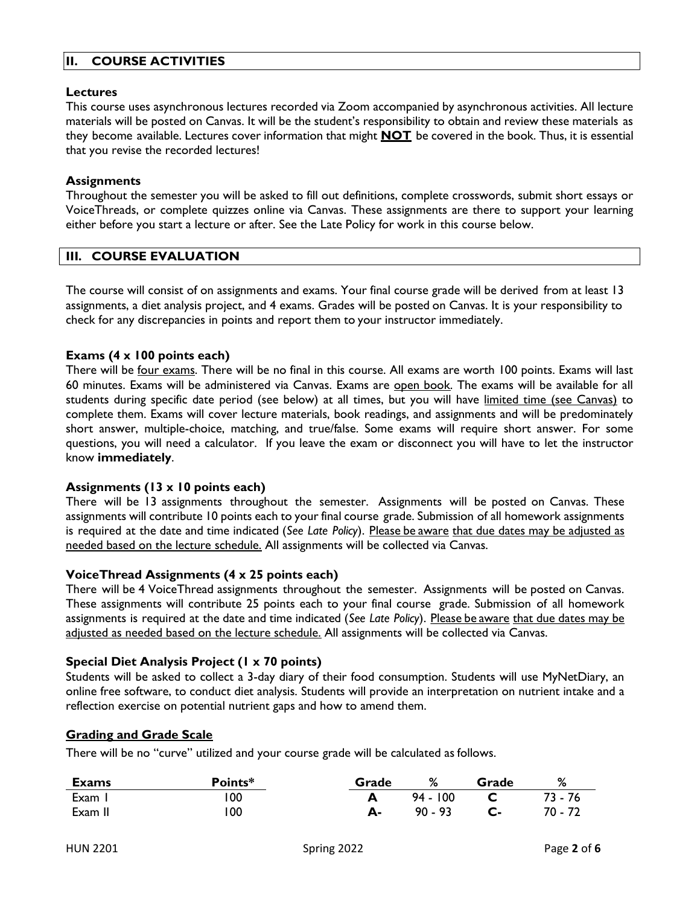# II. COURSE ACTIVITIES

# Lectures

This course uses asynchronous lectures recorded via Zoom accompanied by asynchronous activities. All lecture materials will be posted on Canvas. It will be the student's responsibility to obtain and review these materials as they become available. Lectures cover information that might **NOT** be covered in the book. Thus, it is essential that you revise the recorded lectures!

#### **Assignments**

Throughout the semester you will be asked to fill out definitions, complete crosswords, submit short essays or VoiceThreads, or complete quizzes online via Canvas. These assignments are there to support your learning either before you start a lecture or after. See the Late Policy for work in this course below.

# III. COURSE EVALUATION

The course will consist of on assignments and exams. Your final course grade will be derived from at least 13 assignments, a diet analysis project, and 4 exams. Grades will be posted on Canvas. It is your responsibility to check for any discrepancies in points and report them to your instructor immediately.

#### Exams (4 x 100 points each)

There will be four exams. There will be no final in this course. All exams are worth 100 points. Exams will last 60 minutes. Exams will be administered via Canvas. Exams are open book. The exams will be available for all students during specific date period (see below) at all times, but you will have limited time (see Canvas) to complete them. Exams will cover lecture materials, book readings, and assignments and will be predominately short answer, multiple-choice, matching, and true/false. Some exams will require short answer. For some questions, you will need a calculator. If you leave the exam or disconnect you will have to let the instructor know immediately.

#### Assignments (13 x 10 points each)

There will be 13 assignments throughout the semester. Assignments will be posted on Canvas. These assignments will contribute 10 points each to your final course grade. Submission of all homework assignments is required at the date and time indicated (See Late Policy). Please be aware that due dates may be adjusted as needed based on the lecture schedule. All assignments will be collected via Canvas.

# VoiceThread Assignments (4 x 25 points each)

There will be 4 VoiceThread assignments throughout the semester. Assignments will be posted on Canvas. These assignments will contribute 25 points each to your final course grade. Submission of all homework assignments is required at the date and time indicated (See Late Policy). Please be aware that due dates may be adjusted as needed based on the lecture schedule. All assignments will be collected via Canvas.

# Special Diet Analysis Project (1 x 70 points)

Students will be asked to collect a 3-day diary of their food consumption. Students will use MyNetDiary, an online free software, to conduct diet analysis. Students will provide an interpretation on nutrient intake and a reflection exercise on potential nutrient gaps and how to amend them.

#### Grading and Grade Scale

There will be no "curve" utilized and your course grade will be calculated as follows.

| <b>Exams</b> | Points* | Grade | %          | Grade | ℅       |
|--------------|---------|-------|------------|-------|---------|
| Exam I       | 100     |       | $94 - 100$ |       | 73 - 76 |
| Exam II      | 00      |       | $90 - 93$  |       | 70 - 72 |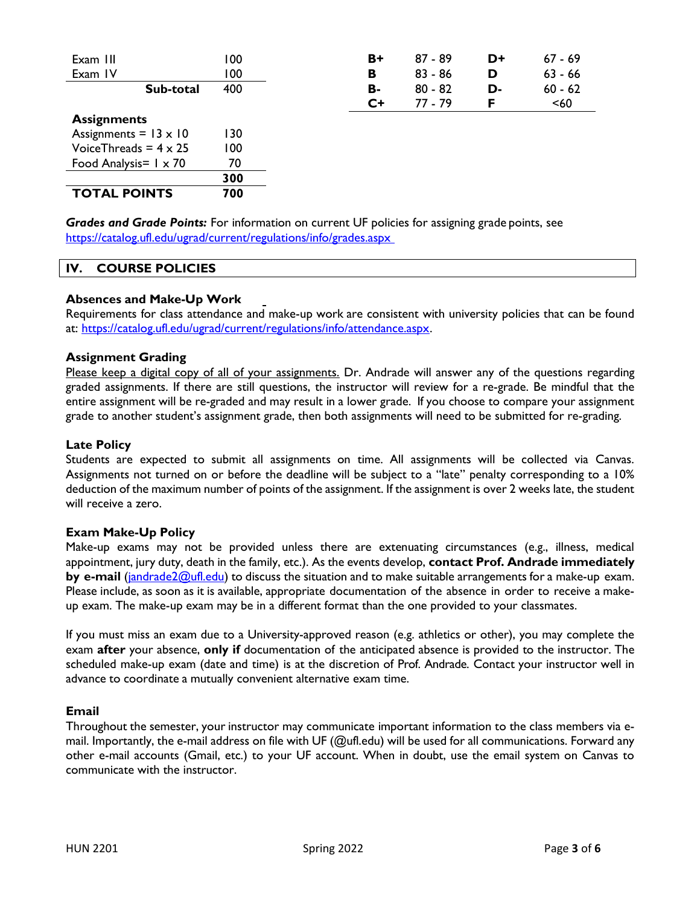| Exam III                      | 100 | B+   | $87 - 89$ | D+ | $67 - 69$ |
|-------------------------------|-----|------|-----------|----|-----------|
| Exam IV                       | 100 | в    | $83 - 86$ | D  | $63 - 66$ |
| Sub-total                     | 400 | в-   | $80 - 82$ | D- | $60 - 62$ |
|                               |     | $C+$ | 77 - 79   | F  | $60$      |
| <b>Assignments</b>            |     |      |           |    |           |
| Assignments = $13 \times 10$  | 130 |      |           |    |           |
| Voice Threads = $4 \times 25$ | 100 |      |           |    |           |
| Food Analysis= $1 \times 70$  | 70  |      |           |    |           |
|                               | 300 |      |           |    |           |
| <b>TOTAL POINTS</b>           | 700 |      |           |    |           |
|                               |     |      |           |    |           |

**Grades and Grade Points:** For information on current UF policies for assigning grade points, see https://catalog.ufl.edu/ugrad/current/regulations/info/grades.aspx

#### IV. COURSE POLICIES

#### Absences and Make-Up Work

Requirements for class attendance and make-up work are consistent with university policies that can be found at: https://catalog.ufl.edu/ugrad/current/regulations/info/attendance.aspx.

#### Assignment Grading

Please keep a digital copy of all of your assignments. Dr. Andrade will answer any of the questions regarding graded assignments. If there are still questions, the instructor will review for a re-grade. Be mindful that the entire assignment will be re-graded and may result in a lower grade. If you choose to compare your assignment grade to another student's assignment grade, then both assignments will need to be submitted for re-grading.

#### Late Policy

Students are expected to submit all assignments on time. All assignments will be collected via Canvas. Assignments not turned on or before the deadline will be subject to a "late" penalty corresponding to a 10% deduction of the maximum number of points of the assignment. If the assignment is over 2 weeks late, the student will receive a zero.

#### Exam Make-Up Policy

Make-up exams may not be provided unless there are extenuating circumstances (e.g., illness, medical appointment, jury duty, death in the family, etc.). As the events develop, contact Prof. Andrade immediately by e-mail (jandrade2@ufl.edu) to discuss the situation and to make suitable arrangements for a make-up exam. Please include, as soon as it is available, appropriate documentation of the absence in order to receive a makeup exam. The make-up exam may be in a different format than the one provided to your classmates.

If you must miss an exam due to a University-approved reason (e.g. athletics or other), you may complete the exam after your absence, only if documentation of the anticipated absence is provided to the instructor. The scheduled make-up exam (date and time) is at the discretion of Prof. Andrade. Contact your instructor well in advance to coordinate a mutually convenient alternative exam time.

#### Email

Throughout the semester, your instructor may communicate important information to the class members via email. Importantly, the e-mail address on file with UF (@ufl.edu) will be used for all communications. Forward any other e-mail accounts (Gmail, etc.) to your UF account. When in doubt, use the email system on Canvas to communicate with the instructor.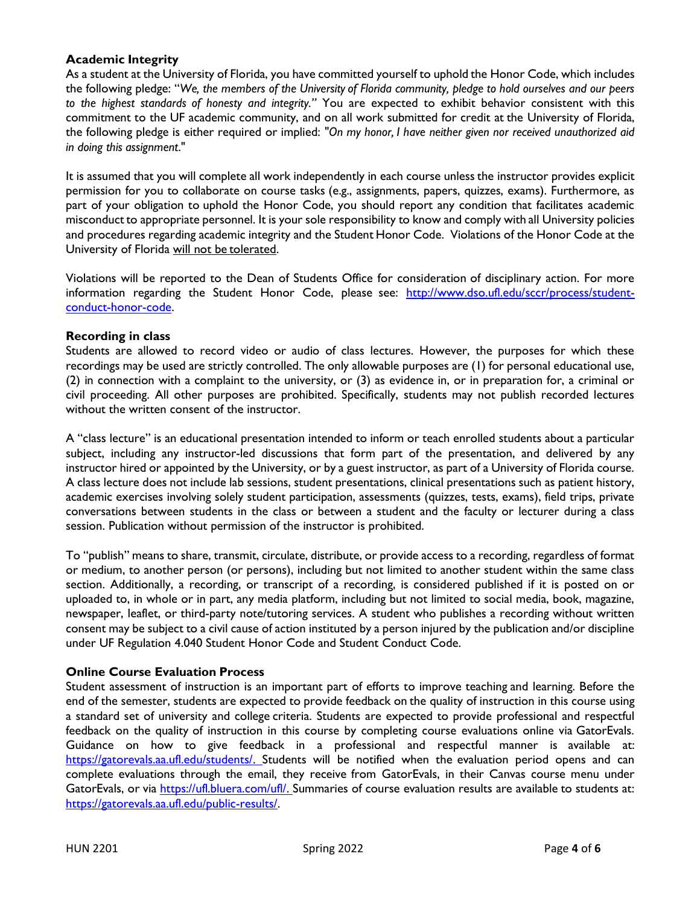# Academic Integrity

As a student at the University of Florida, you have committed yourself to uphold the Honor Code, which includes the following pledge: "We, the members of the University of Florida community, pledge to hold ourselves and our peers to the highest standards of honesty and integrity." You are expected to exhibit behavior consistent with this commitment to the UF academic community, and on all work submitted for credit at the University of Florida, the following pledge is either required or implied: "On my honor, I have neither given nor received unauthorized aid in doing this assignment."

It is assumed that you will complete all work independently in each course unless the instructor provides explicit permission for you to collaborate on course tasks (e.g., assignments, papers, quizzes, exams). Furthermore, as part of your obligation to uphold the Honor Code, you should report any condition that facilitates academic misconduct to appropriate personnel. It is your sole responsibility to know and comply with all University policies and procedures regarding academic integrity and the Student Honor Code. Violations of the Honor Code at the University of Florida will not be tolerated.

Violations will be reported to the Dean of Students Office for consideration of disciplinary action. For more information regarding the Student Honor Code, please see: http://www.dso.ufl.edu/sccr/process/studentconduct-honor-code.

# Recording in class

Students are allowed to record video or audio of class lectures. However, the purposes for which these recordings may be used are strictly controlled. The only allowable purposes are (1) for personal educational use, (2) in connection with a complaint to the university, or (3) as evidence in, or in preparation for, a criminal or civil proceeding. All other purposes are prohibited. Specifically, students may not publish recorded lectures without the written consent of the instructor.

A "class lecture" is an educational presentation intended to inform or teach enrolled students about a particular subject, including any instructor-led discussions that form part of the presentation, and delivered by any instructor hired or appointed by the University, or by a guest instructor, as part of a University of Florida course. A class lecture does not include lab sessions, student presentations, clinical presentations such as patient history, academic exercises involving solely student participation, assessments (quizzes, tests, exams), field trips, private conversations between students in the class or between a student and the faculty or lecturer during a class session. Publication without permission of the instructor is prohibited.

To "publish" means to share, transmit, circulate, distribute, or provide access to a recording, regardless of format or medium, to another person (or persons), including but not limited to another student within the same class section. Additionally, a recording, or transcript of a recording, is considered published if it is posted on or uploaded to, in whole or in part, any media platform, including but not limited to social media, book, magazine, newspaper, leaflet, or third-party note/tutoring services. A student who publishes a recording without written consent may be subject to a civil cause of action instituted by a person injured by the publication and/or discipline under UF Regulation 4.040 Student Honor Code and Student Conduct Code.

# Online Course Evaluation Process

Student assessment of instruction is an important part of efforts to improve teaching and learning. Before the end of the semester, students are expected to provide feedback on the quality of instruction in this course using a standard set of university and college criteria. Students are expected to provide professional and respectful feedback on the quality of instruction in this course by completing course evaluations online via GatorEvals. Guidance on how to give feedback in a professional and respectful manner is available at: https://gatorevals.aa.ufl.edu/students/. Students will be notified when the evaluation period opens and can complete evaluations through the email, they receive from GatorEvals, in their Canvas course menu under GatorEvals, or via https://ufl.bluera.com/ufl/. Summaries of course evaluation results are available to students at: https://gatorevals.aa.ufl.edu/public-results/.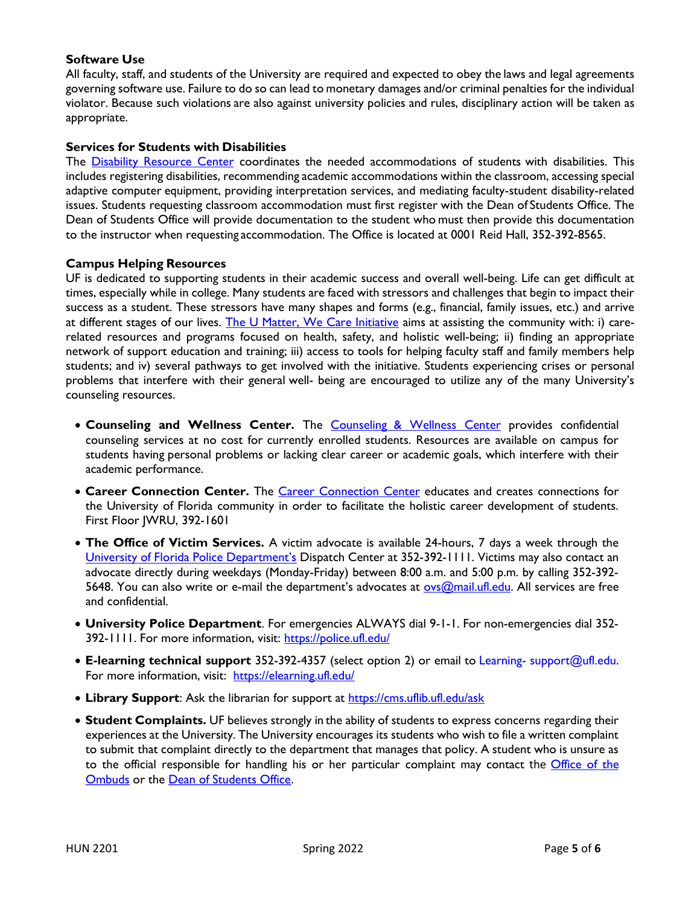# Software Use

All faculty, staff, and students of the University are required and expected to obey the laws and legal agreements governing software use. Failure to do so can lead to monetary damages and/or criminal penalties for the individual violator. Because such violations are also against university policies and rules, disciplinary action will be taken as appropriate.

# Services for Students with Disabilities

The Disability Resource Center coordinates the needed accommodations of students with disabilities. This includes registering disabilities, recommending academic accommodations within the classroom, accessing special adaptive computer equipment, providing interpretation services, and mediating faculty-student disability-related issues. Students requesting classroom accommodation must first register with the Dean of Students Office. The Dean of Students Office will provide documentation to the student who must then provide this documentation to the instructor when requesting accommodation. The Office is located at 0001 Reid Hall, 352-392-8565.

# Campus Helping Resources

UF is dedicated to supporting students in their academic success and overall well-being. Life can get difficult at times, especially while in college. Many students are faced with stressors and challenges that begin to impact their success as a student. These stressors have many shapes and forms (e.g., financial, family issues, etc.) and arrive at different stages of our lives. The U Matter, We Care Initiative aims at assisting the community with: i) carerelated resources and programs focused on health, safety, and holistic well-being; ii) finding an appropriate network of support education and training; iii) access to tools for helping faculty staff and family members help students; and iv) several pathways to get involved with the initiative. Students experiencing crises or personal problems that interfere with their general well- being are encouraged to utilize any of the many University's counseling resources.

- Counseling and Wellness Center. The Counseling & Wellness Center provides confidential counseling services at no cost for currently enrolled students. Resources are available on campus for students having personal problems or lacking clear career or academic goals, which interfere with their academic performance.
- Career Connection Center. The Career Connection Center educates and creates connections for the University of Florida community in order to facilitate the holistic career development of students. First Floor JWRU, 392-1601
- The Office of Victim Services. A victim advocate is available 24-hours, 7 days a week through the University of Florida Police Department's Dispatch Center at 352-392-1111. Victims may also contact an advocate directly during weekdays (Monday-Friday) between 8:00 a.m. and 5:00 p.m. by calling 352-392- 5648. You can also write or e-mail the department's advocates at ovs@mail.ufl.edu. All services are free and confidential.
- University Police Department. For emergencies ALWAYS dial 9-1-1. For non-emergencies dial 352- 392-1111. For more information, visit: https://police.ufl.edu/
- E-learning technical support 352-392-4357 (select option 2) or email to Learning- support@ufl.edu. For more information, visit: https://elearning.ufl.edu/
- Library Support: Ask the librarian for support at https://cms.uflib.ufl.edu/ask
- Student Complaints. UF believes strongly in the ability of students to express concerns regarding their experiences at the University. The University encourages its students who wish to file a written complaint to submit that complaint directly to the department that manages that policy. A student who is unsure as to the official responsible for handling his or her particular complaint may contact the Office of the Ombuds or the Dean of Students Office.